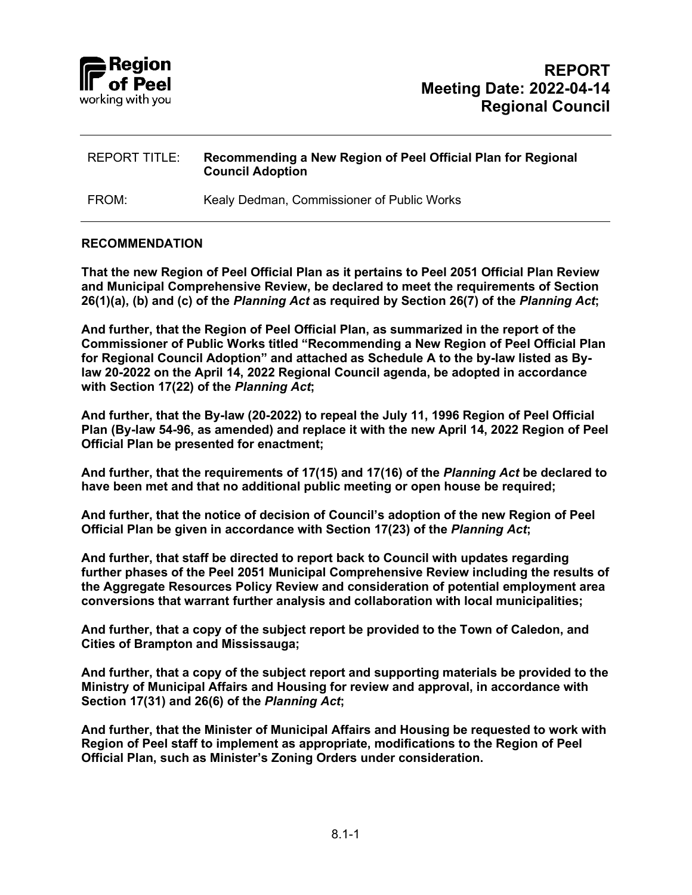

FROM: Kealy Dedman, Commissioner of Public Works

#### **RECOMMENDATION**

**That the new Region of Peel Official Plan as it pertains to Peel 2051 Official Plan Review and Municipal Comprehensive Review, be declared to meet the requirements of Section 26(1)(a), (b) and (c) of the** *Planning Act* **as required by Section 26(7) of the** *Planning Act***;** 

**And further, that the Region of Peel Official Plan, as summarized in the report of the Commissioner of Public Works titled "Recommending a New Region of Peel Official Plan for Regional Council Adoption" and attached as Schedule A to the by-law listed as Bylaw 20-2022 on the April 14, 2022 Regional Council agenda, be adopted in accordance with Section 17(22) of the** *Planning Act***;** 

**And further, that the By-law (20-2022) to repeal the July 11, 1996 Region of Peel Official Plan (By-law 54-96, as amended) and replace it with the new April 14, 2022 Region of Peel Official Plan be presented for enactment;**

**And further, that the requirements of 17(15) and 17(16) of the** *Planning Act* **be declared to have been met and that no additional public meeting or open house be required;**

**And further, that the notice of decision of Council's adoption of the new Region of Peel Official Plan be given in accordance with Section 17(23) of the** *Planning Act***;** 

**And further, that staff be directed to report back to Council with updates regarding further phases of the Peel 2051 Municipal Comprehensive Review including the results of the Aggregate Resources Policy Review and consideration of potential employment area conversions that warrant further analysis and collaboration with local municipalities;**

**And further, that a copy of the subject report be provided to the Town of Caledon, and Cities of Brampton and Mississauga;**

**And further, that a copy of the subject report and supporting materials be provided to the Ministry of Municipal Affairs and Housing for review and approval, in accordance with Section 17(31) and 26(6) of the** *Planning Act***;** 

**And further, that the Minister of Municipal Affairs and Housing be requested to work with Region of Peel staff to implement as appropriate, modifications to the Region of Peel Official Plan, such as Minister's Zoning Orders under consideration.**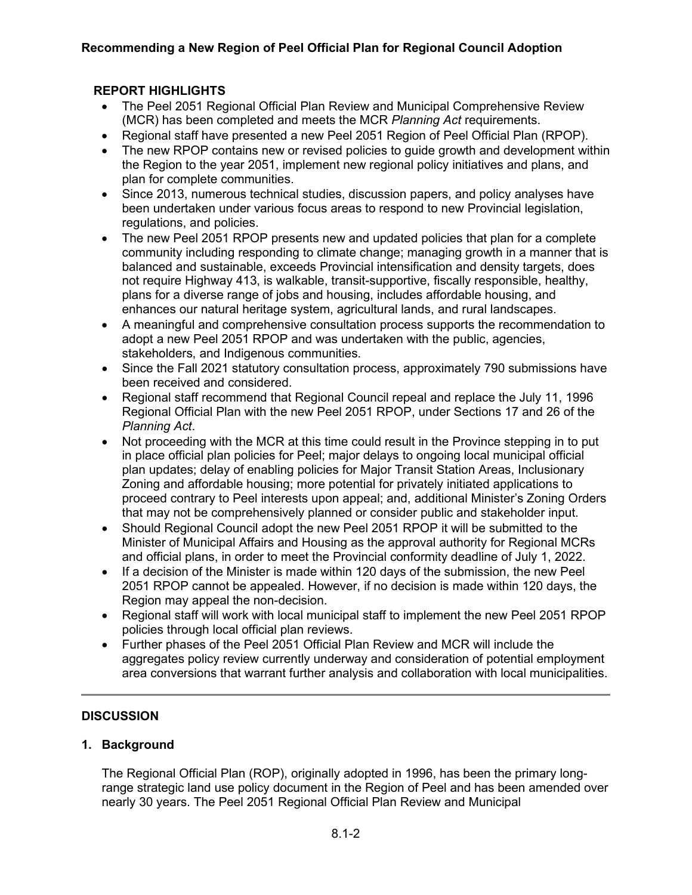## **REPORT HIGHLIGHTS**

- The Peel 2051 Regional Official Plan Review and Municipal Comprehensive Review (MCR) has been completed and meets the MCR *Planning Act* requirements.
- Regional staff have presented a new Peel 2051 Region of Peel Official Plan (RPOP).
- The new RPOP contains new or revised policies to guide growth and development within the Region to the year 2051, implement new regional policy initiatives and plans, and plan for complete communities.
- Since 2013, numerous technical studies, discussion papers, and policy analyses have been undertaken under various focus areas to respond to new Provincial legislation, regulations, and policies.
- The new Peel 2051 RPOP presents new and updated policies that plan for a complete community including responding to climate change; managing growth in a manner that is balanced and sustainable, exceeds Provincial intensification and density targets, does not require Highway 413, is walkable, transit-supportive, fiscally responsible, healthy, plans for a diverse range of jobs and housing, includes affordable housing, and enhances our natural heritage system, agricultural lands, and rural landscapes.
- A meaningful and comprehensive consultation process supports the recommendation to adopt a new Peel 2051 RPOP and was undertaken with the public, agencies, stakeholders, and Indigenous communities.
- Since the Fall 2021 statutory consultation process, approximately 790 submissions have been received and considered.
- Regional staff recommend that Regional Council repeal and replace the July 11, 1996 Regional Official Plan with the new Peel 2051 RPOP, under Sections 17 and 26 of the *Planning Act*.
- Not proceeding with the MCR at this time could result in the Province stepping in to put in place official plan policies for Peel; major delays to ongoing local municipal official plan updates; delay of enabling policies for Major Transit Station Areas, Inclusionary Zoning and affordable housing; more potential for privately initiated applications to proceed contrary to Peel interests upon appeal; and, additional Minister's Zoning Orders that may not be comprehensively planned or consider public and stakeholder input.
- Should Regional Council adopt the new Peel 2051 RPOP it will be submitted to the Minister of Municipal Affairs and Housing as the approval authority for Regional MCRs and official plans, in order to meet the Provincial conformity deadline of July 1, 2022.
- If a decision of the Minister is made within 120 days of the submission, the new Peel 2051 RPOP cannot be appealed. However, if no decision is made within 120 days, the Region may appeal the non-decision.
- Regional staff will work with local municipal staff to implement the new Peel 2051 RPOP policies through local official plan reviews.
- Further phases of the Peel 2051 Official Plan Review and MCR will include the aggregates policy review currently underway and consideration of potential employment area conversions that warrant further analysis and collaboration with local municipalities.

## **DISCUSSION**

## **1. Background**

The Regional Official Plan (ROP), originally adopted in 1996, has been the primary longrange strategic land use policy document in the Region of Peel and has been amended over nearly 30 years. The Peel 2051 Regional Official Plan Review and Municipal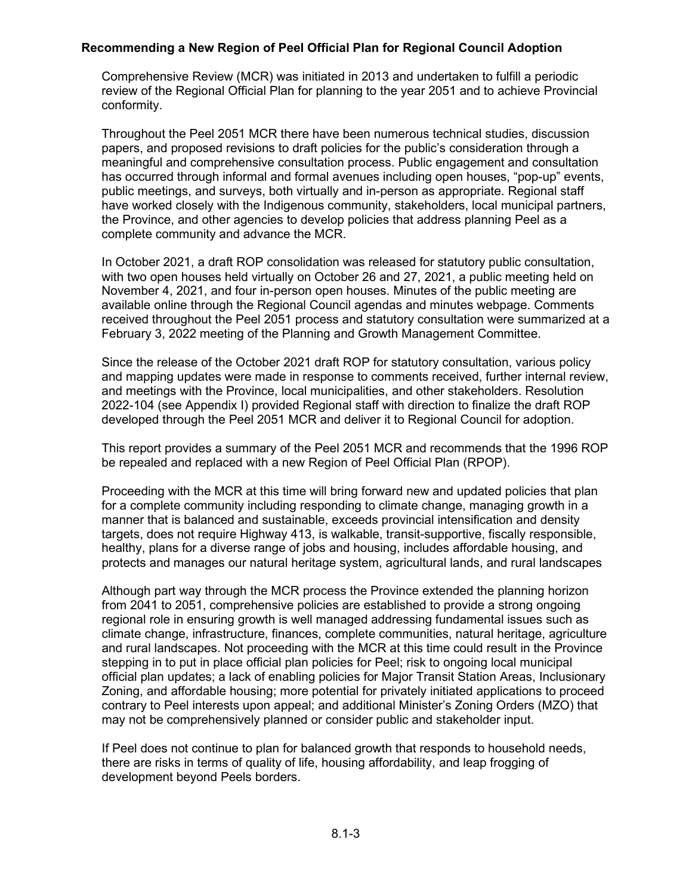Comprehensive Review (MCR) was initiated in 2013 and undertaken to fulfill a periodic review of the Regional Official Plan for planning to the year 2051 and to achieve Provincial conformity.

Throughout the Peel 2051 MCR there have been numerous technical studies, discussion papers, and proposed revisions to draft policies for the public's consideration through a meaningful and comprehensive consultation process. Public engagement and consultation has occurred through informal and formal avenues including open houses, "pop-up" events, public meetings, and surveys, both virtually and in-person as appropriate. Regional staff have worked closely with the Indigenous community, stakeholders, local municipal partners, the Province, and other agencies to develop policies that address planning Peel as a complete community and advance the MCR.

In October 2021, a draft ROP consolidation was released for statutory public consultation, with two open houses held virtually on October 26 and 27, 2021, a public meeting held on November 4, 2021, and four in-person open houses. Minutes of the public meeting are available online through the Regional Council agendas and minutes webpage. Comments received throughout the Peel 2051 process and statutory consultation were summarized at a February 3, 2022 meeting of the Planning and Growth Management Committee.

Since the release of the October 2021 draft ROP for statutory consultation, various policy and mapping updates were made in response to comments received, further internal review, and meetings with the Province, local municipalities, and other stakeholders. Resolution 2022-104 (see Appendix I) provided Regional staff with direction to finalize the draft ROP developed through the Peel 2051 MCR and deliver it to Regional Council for adoption.

This report provides a summary of the Peel 2051 MCR and recommends that the 1996 ROP be repealed and replaced with a new Region of Peel Official Plan (RPOP).

Proceeding with the MCR at this time will bring forward new and updated policies that plan for a complete community including responding to climate change, managing growth in a manner that is balanced and sustainable, exceeds provincial intensification and density targets, does not require Highway 413, is walkable, transit-supportive, fiscally responsible, healthy, plans for a diverse range of jobs and housing, includes affordable housing, and protects and manages our natural heritage system, agricultural lands, and rural landscapes

Although part way through the MCR process the Province extended the planning horizon from 2041 to 2051, comprehensive policies are established to provide a strong ongoing regional role in ensuring growth is well managed addressing fundamental issues such as climate change, infrastructure, finances, complete communities, natural heritage, agriculture and rural landscapes. Not proceeding with the MCR at this time could result in the Province stepping in to put in place official plan policies for Peel; risk to ongoing local municipal official plan updates; a lack of enabling policies for Major Transit Station Areas, Inclusionary Zoning, and affordable housing; more potential for privately initiated applications to proceed contrary to Peel interests upon appeal; and additional Minister's Zoning Orders (MZO) that may not be comprehensively planned or consider public and stakeholder input.

If Peel does not continue to plan for balanced growth that responds to household needs, there are risks in terms of quality of life, housing affordability, and leap frogging of development beyond Peels borders.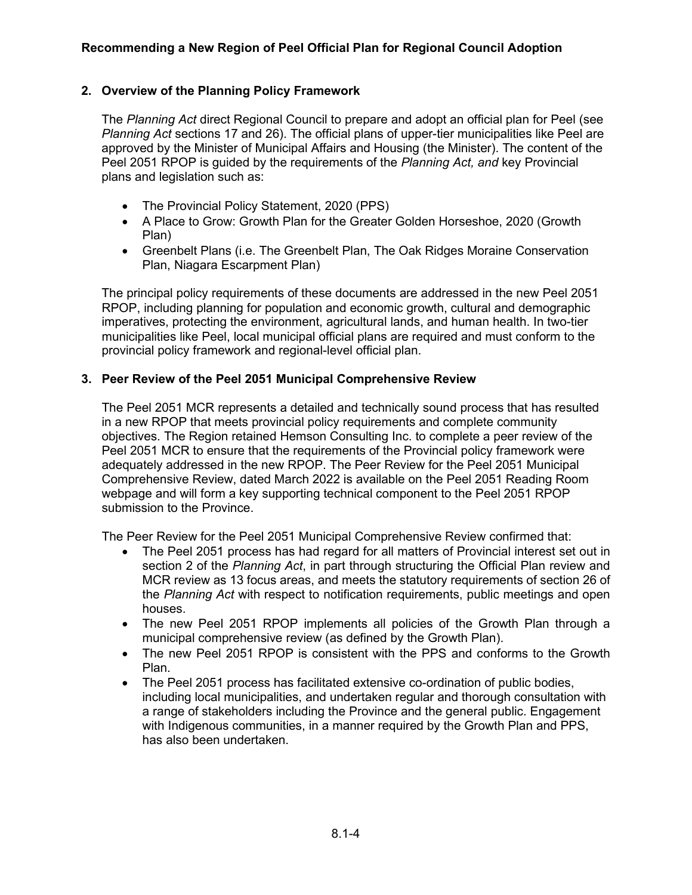## **2. Overview of the Planning Policy Framework**

The *Planning Act* direct Regional Council to prepare and adopt an official plan for Peel (see *Planning Act* sections 17 and 26). The official plans of upper-tier municipalities like Peel are approved by the Minister of Municipal Affairs and Housing (the Minister). The content of the Peel 2051 RPOP is guided by the requirements of the *Planning Act, and* key Provincial plans and legislation such as:

- The Provincial Policy Statement, 2020 (PPS)
- A Place to Grow: Growth Plan for the Greater Golden Horseshoe, 2020 (Growth Plan)
- Greenbelt Plans (i.e. The Greenbelt Plan, The Oak Ridges Moraine Conservation Plan, Niagara Escarpment Plan)

The principal policy requirements of these documents are addressed in the new Peel 2051 RPOP, including planning for population and economic growth, cultural and demographic imperatives, protecting the environment, agricultural lands, and human health. In two-tier municipalities like Peel, local municipal official plans are required and must conform to the provincial policy framework and regional-level official plan.

## **3. Peer Review of the Peel 2051 Municipal Comprehensive Review**

The Peel 2051 MCR represents a detailed and technically sound process that has resulted in a new RPOP that meets provincial policy requirements and complete community objectives. The Region retained Hemson Consulting Inc. to complete a peer review of the Peel 2051 MCR to ensure that the requirements of the Provincial policy framework were adequately addressed in the new RPOP. The Peer Review for the Peel 2051 Municipal Comprehensive Review, dated March 2022 is available on the Peel 2051 Reading Room webpage and will form a key supporting technical component to the Peel 2051 RPOP submission to the Province.

The Peer Review for the Peel 2051 Municipal Comprehensive Review confirmed that:

- The Peel 2051 process has had regard for all matters of Provincial interest set out in section 2 of the *Planning Act*, in part through structuring the Official Plan review and MCR review as 13 focus areas, and meets the statutory requirements of section 26 of the *Planning Act* with respect to notification requirements, public meetings and open houses.
- The new Peel 2051 RPOP implements all policies of the Growth Plan through a municipal comprehensive review (as defined by the Growth Plan).
- The new Peel 2051 RPOP is consistent with the PPS and conforms to the Growth Plan.
- The Peel 2051 process has facilitated extensive co-ordination of public bodies, including local municipalities, and undertaken regular and thorough consultation with a range of stakeholders including the Province and the general public. Engagement with Indigenous communities, in a manner required by the Growth Plan and PPS, has also been undertaken.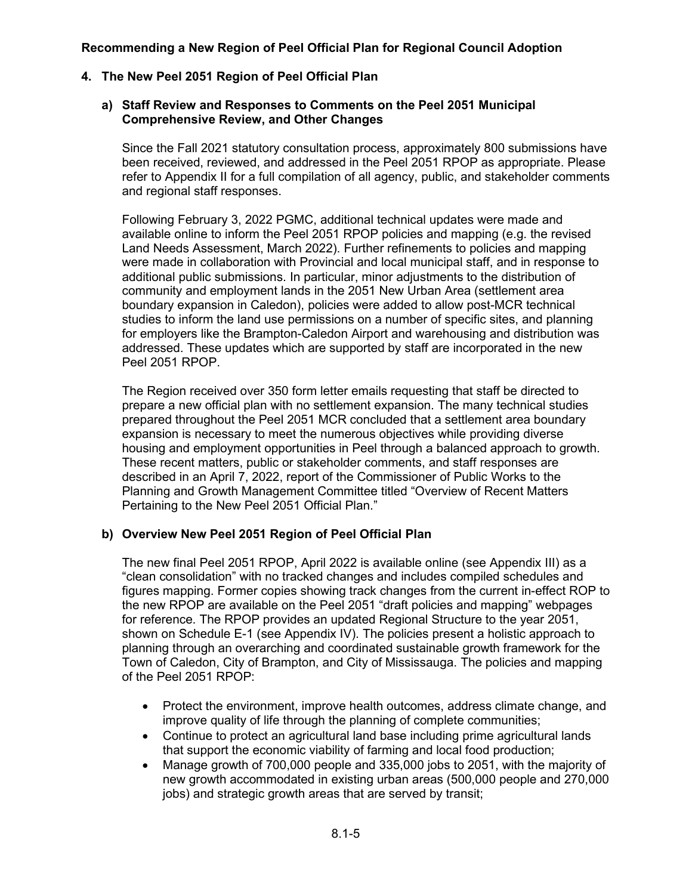## **4. The New Peel 2051 Region of Peel Official Plan**

#### **a) Staff Review and Responses to Comments on the Peel 2051 Municipal Comprehensive Review, and Other Changes**

Since the Fall 2021 statutory consultation process, approximately 800 submissions have been received, reviewed, and addressed in the Peel 2051 RPOP as appropriate. Please refer to Appendix II for a full compilation of all agency, public, and stakeholder comments and regional staff responses.

Following February 3, 2022 PGMC, additional technical updates were made and available online to inform the Peel 2051 RPOP policies and mapping (e.g. the revised Land Needs Assessment, March 2022). Further refinements to policies and mapping were made in collaboration with Provincial and local municipal staff, and in response to additional public submissions. In particular, minor adjustments to the distribution of community and employment lands in the 2051 New Urban Area (settlement area boundary expansion in Caledon), policies were added to allow post-MCR technical studies to inform the land use permissions on a number of specific sites, and planning for employers like the Brampton-Caledon Airport and warehousing and distribution was addressed. These updates which are supported by staff are incorporated in the new Peel 2051 RPOP.

The Region received over 350 form letter emails requesting that staff be directed to prepare a new official plan with no settlement expansion. The many technical studies prepared throughout the Peel 2051 MCR concluded that a settlement area boundary expansion is necessary to meet the numerous objectives while providing diverse housing and employment opportunities in Peel through a balanced approach to growth. These recent matters, public or stakeholder comments, and staff responses are described in an April 7, 2022, report of the Commissioner of Public Works to the Planning and Growth Management Committee titled "Overview of Recent Matters Pertaining to the New Peel 2051 Official Plan."

## **b) Overview New Peel 2051 Region of Peel Official Plan**

The new final Peel 2051 RPOP, April 2022 is available online (see Appendix III) as a "clean consolidation" with no tracked changes and includes compiled schedules and figures mapping. Former copies showing track changes from the current in-effect ROP to the new RPOP are available on the Peel 2051 "draft policies and mapping" webpages for reference. The RPOP provides an updated Regional Structure to the year 2051, shown on Schedule E-1 (see Appendix IV). The policies present a holistic approach to planning through an overarching and coordinated sustainable growth framework for the Town of Caledon, City of Brampton, and City of Mississauga. The policies and mapping of the Peel 2051 RPOP:

- Protect the environment, improve health outcomes, address climate change, and improve quality of life through the planning of complete communities;
- Continue to protect an agricultural land base including prime agricultural lands that support the economic viability of farming and local food production;
- Manage growth of 700,000 people and 335,000 jobs to 2051, with the majority of new growth accommodated in existing urban areas (500,000 people and 270,000 jobs) and strategic growth areas that are served by transit;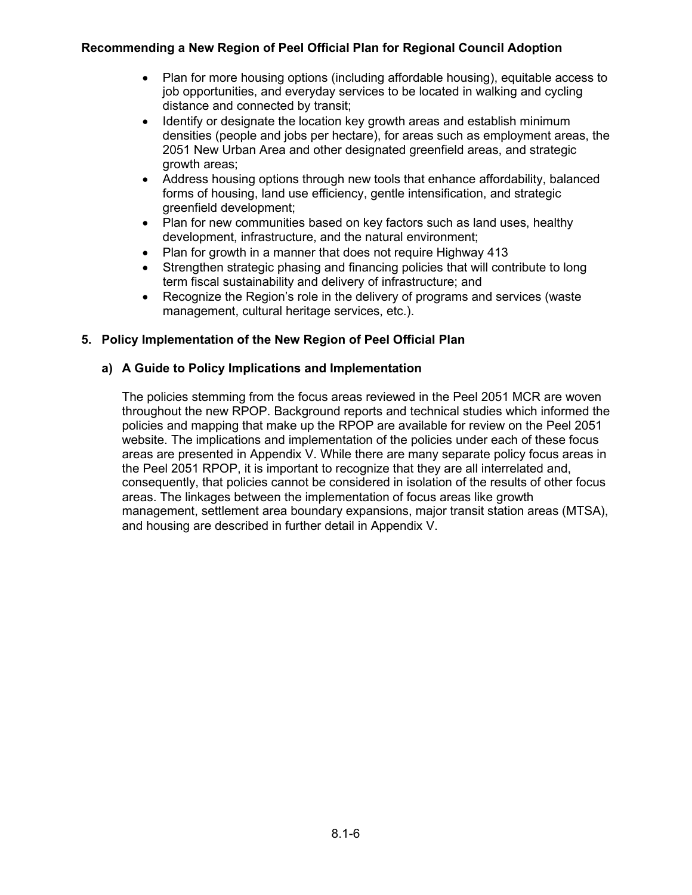- Plan for more housing options (including affordable housing), equitable access to job opportunities, and everyday services to be located in walking and cycling distance and connected by transit;
- Identify or designate the location key growth areas and establish minimum densities (people and jobs per hectare), for areas such as employment areas, the 2051 New Urban Area and other designated greenfield areas, and strategic growth areas;
- Address housing options through new tools that enhance affordability, balanced forms of housing, land use efficiency, gentle intensification, and strategic greenfield development;
- Plan for new communities based on key factors such as land uses, healthy development, infrastructure, and the natural environment;
- Plan for growth in a manner that does not require Highway 413
- Strengthen strategic phasing and financing policies that will contribute to long term fiscal sustainability and delivery of infrastructure; and
- Recognize the Region's role in the delivery of programs and services (waste management, cultural heritage services, etc.).

## **5. Policy Implementation of the New Region of Peel Official Plan**

## **a) A Guide to Policy Implications and Implementation**

The policies stemming from the focus areas reviewed in the Peel 2051 MCR are woven throughout the new RPOP. Background reports and technical studies which informed the policies and mapping that make up the RPOP are available for review on the Peel 2051 website. The implications and implementation of the policies under each of these focus areas are presented in Appendix V. While there are many separate policy focus areas in the Peel 2051 RPOP, it is important to recognize that they are all interrelated and, consequently, that policies cannot be considered in isolation of the results of other focus areas. The linkages between the implementation of focus areas like growth management, settlement area boundary expansions, major transit station areas (MTSA), and housing are described in further detail in Appendix V.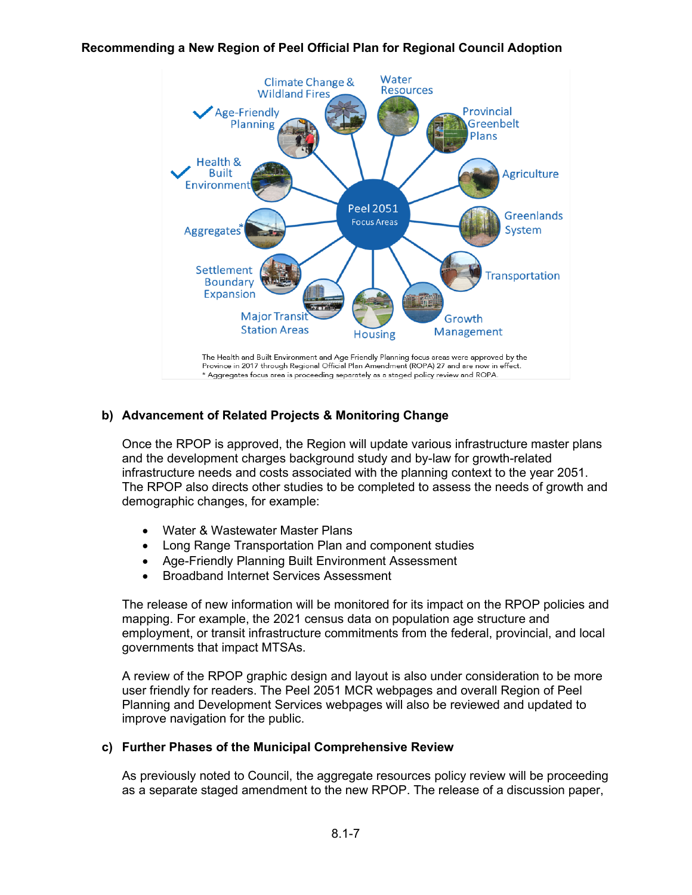

## **b) Advancement of Related Projects & Monitoring Change**

Once the RPOP is approved, the Region will update various infrastructure master plans and the development charges background study and by-law for growth-related infrastructure needs and costs associated with the planning context to the year 2051. The RPOP also directs other studies to be completed to assess the needs of growth and demographic changes, for example:

- Water & Wastewater Master Plans
- Long Range Transportation Plan and component studies
- Age-Friendly Planning Built Environment Assessment
- Broadband Internet Services Assessment

The release of new information will be monitored for its impact on the RPOP policies and mapping. For example, the 2021 census data on population age structure and employment, or transit infrastructure commitments from the federal, provincial, and local governments that impact MTSAs.

A review of the RPOP graphic design and layout is also under consideration to be more user friendly for readers. The Peel 2051 MCR webpages and overall Region of Peel Planning and Development Services webpages will also be reviewed and updated to improve navigation for the public.

#### **c) Further Phases of the Municipal Comprehensive Review**

As previously noted to Council, the aggregate resources policy review will be proceeding as a separate staged amendment to the new RPOP. The release of a discussion paper,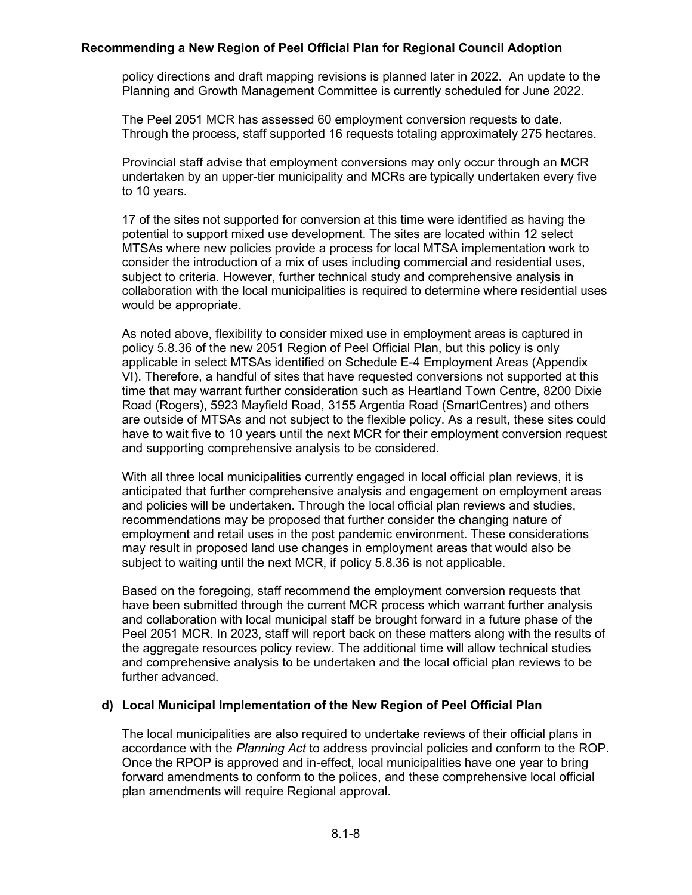policy directions and draft mapping revisions is planned later in 2022. An update to the Planning and Growth Management Committee is currently scheduled for June 2022.

The Peel 2051 MCR has assessed 60 employment conversion requests to date. Through the process, staff supported 16 requests totaling approximately 275 hectares.

Provincial staff advise that employment conversions may only occur through an MCR undertaken by an upper-tier municipality and MCRs are typically undertaken every five to 10 years.

17 of the sites not supported for conversion at this time were identified as having the potential to support mixed use development. The sites are located within 12 select MTSAs where new policies provide a process for local MTSA implementation work to consider the introduction of a mix of uses including commercial and residential uses, subject to criteria. However, further technical study and comprehensive analysis in collaboration with the local municipalities is required to determine where residential uses would be appropriate.

As noted above, flexibility to consider mixed use in employment areas is captured in policy 5.8.36 of the new 2051 Region of Peel Official Plan, but this policy is only applicable in select MTSAs identified on Schedule E-4 Employment Areas (Appendix VI). Therefore, a handful of sites that have requested conversions not supported at this time that may warrant further consideration such as Heartland Town Centre, 8200 Dixie Road (Rogers), 5923 Mayfield Road, 3155 Argentia Road (SmartCentres) and others are outside of MTSAs and not subject to the flexible policy. As a result, these sites could have to wait five to 10 years until the next MCR for their employment conversion request and supporting comprehensive analysis to be considered.

With all three local municipalities currently engaged in local official plan reviews, it is anticipated that further comprehensive analysis and engagement on employment areas and policies will be undertaken. Through the local official plan reviews and studies, recommendations may be proposed that further consider the changing nature of employment and retail uses in the post pandemic environment. These considerations may result in proposed land use changes in employment areas that would also be subject to waiting until the next MCR, if policy 5.8.36 is not applicable.

Based on the foregoing, staff recommend the employment conversion requests that have been submitted through the current MCR process which warrant further analysis and collaboration with local municipal staff be brought forward in a future phase of the Peel 2051 MCR. In 2023, staff will report back on these matters along with the results of the aggregate resources policy review. The additional time will allow technical studies and comprehensive analysis to be undertaken and the local official plan reviews to be further advanced.

## **d) Local Municipal Implementation of the New Region of Peel Official Plan**

The local municipalities are also required to undertake reviews of their official plans in accordance with the *Planning Act* to address provincial policies and conform to the ROP. Once the RPOP is approved and in-effect, local municipalities have one year to bring forward amendments to conform to the polices, and these comprehensive local official plan amendments will require Regional approval.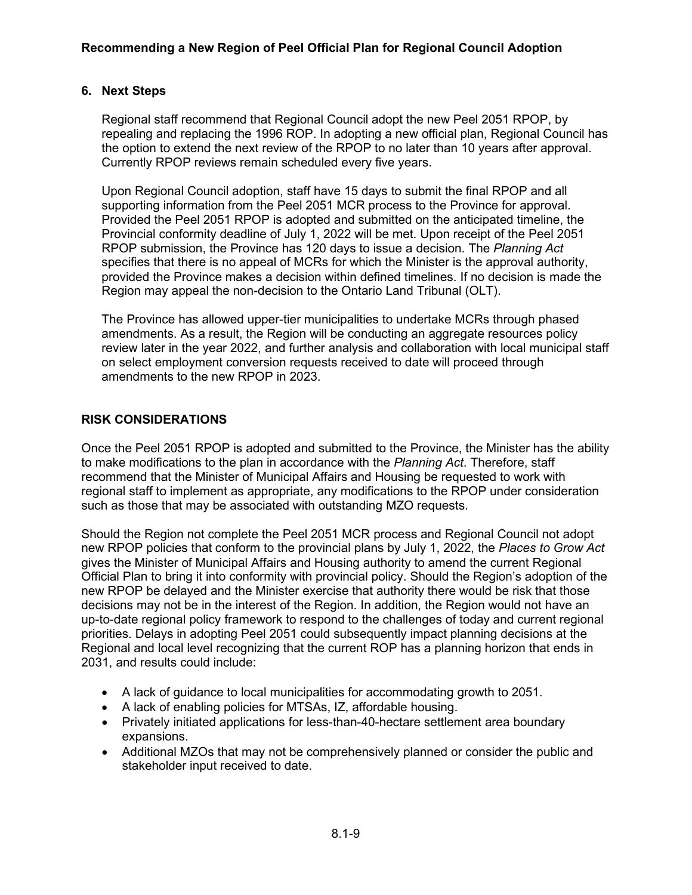## **6. Next Steps**

Regional staff recommend that Regional Council adopt the new Peel 2051 RPOP, by repealing and replacing the 1996 ROP. In adopting a new official plan, Regional Council has the option to extend the next review of the RPOP to no later than 10 years after approval. Currently RPOP reviews remain scheduled every five years.

Upon Regional Council adoption, staff have 15 days to submit the final RPOP and all supporting information from the Peel 2051 MCR process to the Province for approval. Provided the Peel 2051 RPOP is adopted and submitted on the anticipated timeline, the Provincial conformity deadline of July 1, 2022 will be met. Upon receipt of the Peel 2051 RPOP submission, the Province has 120 days to issue a decision. The *Planning Act* specifies that there is no appeal of MCRs for which the Minister is the approval authority, provided the Province makes a decision within defined timelines. If no decision is made the Region may appeal the non-decision to the Ontario Land Tribunal (OLT).

The Province has allowed upper-tier municipalities to undertake MCRs through phased amendments. As a result, the Region will be conducting an aggregate resources policy review later in the year 2022, and further analysis and collaboration with local municipal staff on select employment conversion requests received to date will proceed through amendments to the new RPOP in 2023.

## **RISK CONSIDERATIONS**

Once the Peel 2051 RPOP is adopted and submitted to the Province, the Minister has the ability to make modifications to the plan in accordance with the *Planning Act*. Therefore, staff recommend that the Minister of Municipal Affairs and Housing be requested to work with regional staff to implement as appropriate, any modifications to the RPOP under consideration such as those that may be associated with outstanding MZO requests.

Should the Region not complete the Peel 2051 MCR process and Regional Council not adopt new RPOP policies that conform to the provincial plans by July 1, 2022, the *Places to Grow Act* gives the Minister of Municipal Affairs and Housing authority to amend the current Regional Official Plan to bring it into conformity with provincial policy. Should the Region's adoption of the new RPOP be delayed and the Minister exercise that authority there would be risk that those decisions may not be in the interest of the Region. In addition, the Region would not have an up-to-date regional policy framework to respond to the challenges of today and current regional priorities. Delays in adopting Peel 2051 could subsequently impact planning decisions at the Regional and local level recognizing that the current ROP has a planning horizon that ends in 2031, and results could include:

- A lack of guidance to local municipalities for accommodating growth to 2051.
- A lack of enabling policies for MTSAs, IZ, affordable housing.
- Privately initiated applications for less-than-40-hectare settlement area boundary expansions.
- Additional MZOs that may not be comprehensively planned or consider the public and stakeholder input received to date.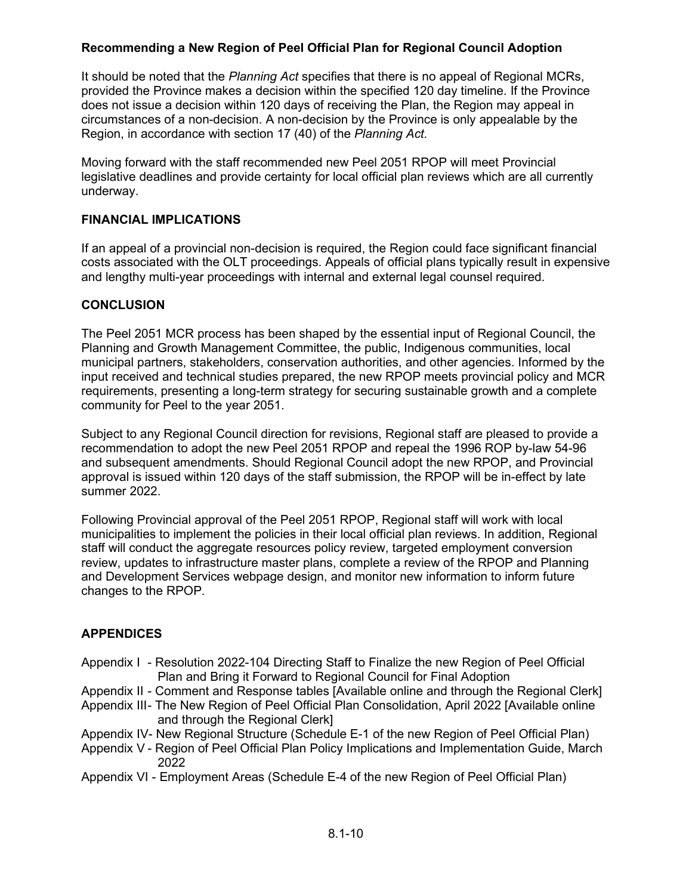It should be noted that the *Planning Act* specifies that there is no appeal of Regional MCRs, provided the Province makes a decision within the specified 120 day timeline. If the Province does not issue a decision within 120 days of receiving the Plan, the Region may appeal in circumstances of a non-decision. A non-decision by the Province is only appealable by the Region, in accordance with section 17 (40) of the *Planning Act.*

Moving forward with the staff recommended new Peel 2051 RPOP will meet Provincial legislative deadlines and provide certainty for local official plan reviews which are all currently underway.

## **FINANCIAL IMPLICATIONS**

If an appeal of a provincial non-decision is required, the Region could face significant financial costs associated with the OLT proceedings. Appeals of official plans typically result in expensive and lengthy multi-year proceedings with internal and external legal counsel required.

## **CONCLUSION**

The Peel 2051 MCR process has been shaped by the essential input of Regional Council, the Planning and Growth Management Committee, the public, Indigenous communities, local municipal partners, stakeholders, conservation authorities, and other agencies. Informed by the input received and technical studies prepared, the new RPOP meets provincial policy and MCR requirements, presenting a long-term strategy for securing sustainable growth and a complete community for Peel to the year 2051.

Subject to any Regional Council direction for revisions, Regional staff are pleased to provide a recommendation to adopt the new Peel 2051 RPOP and repeal the 1996 ROP by-law 54-96 and subsequent amendments. Should Regional Council adopt the new RPOP, and Provincial approval is issued within 120 days of the staff submission, the RPOP will be in-effect by late summer 2022.

Following Provincial approval of the Peel 2051 RPOP, Regional staff will work with local municipalities to implement the policies in their local official plan reviews. In addition, Regional staff will conduct the aggregate resources policy review, targeted employment conversion review, updates to infrastructure master plans, complete a review of the RPOP and Planning and Development Services webpage design, and monitor new information to inform future changes to the RPOP.

## **APPENDICES**

- Appendix I Resolution 2022-104 Directing Staff to Finalize the new Region of Peel Official Plan and Bring it Forward to Regional Council for Final Adoption
- Appendix II Comment and Response tables [Available online and through the Regional Clerk]
- Appendix III- The New Region of Peel Official Plan Consolidation, April 2022 [Available online and through the Regional Clerk]
- Appendix IV- New Regional Structure (Schedule E-1 of the new Region of Peel Official Plan)
- Appendix V Region of Peel Official Plan Policy Implications and Implementation Guide, March 2022
- Appendix VI Employment Areas (Schedule E-4 of the new Region of Peel Official Plan)